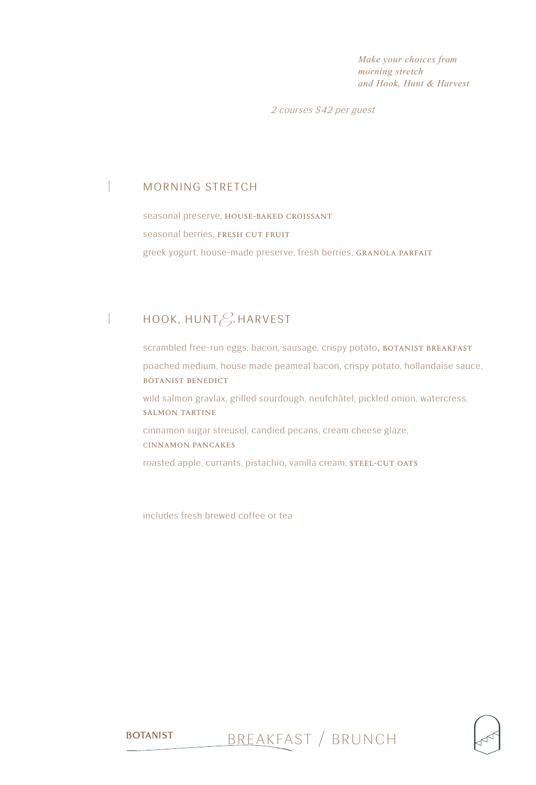*Make your choices from morning stretch and Hook, Hunt & Harvest* 

2 courses \$42 per guest

### | morning stretch

seasonal preserve, HOUSE-BAKED CROISSANT seasonal berries, FRESH CUT FRUIT greek yogurt, house-made preserve, fresh berries, GRANOLA PARFAIT

# HOOK, HUNT $\mathcal{E}_r$  HARVEST

scrambled free-run eggs, bacon, sausage, crispy potato, BOTANIST BREAKFAST poached medium, house made peameal bacon, crispy potato, hollandaise sauce, botanist benedict wild salmon gravlax, grilled sourdough, neufchâtel, pickled onion, watercress, salmon tartine cinnamon sugar streusel, candied pecans, cream cheese glaze, cinnamon pancakes roasted apple, currants, pistachio, vanilla cream, STEEL-CUT OATS

includes fresh brewed coffee or tea

**BOTANIST** 

breakfast / brunch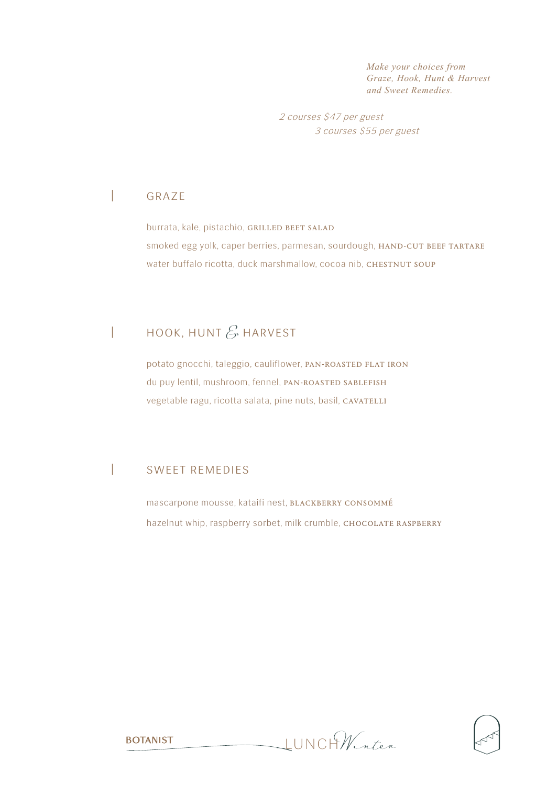*Make your choices from Graze, Hook, Hunt & Harvest and Sweet Remedies.* 

2 courses \$47 per guest 3 courses \$55 per guest

## | graze

burrata, kale, pistachio, GRILLED BEET SALAD smoked egg yolk, caper berries, parmesan, sourdough, HAND-CUT BEEF TARTARE water buffalo ricotta, duck marshmallow, cocoa nib, CHESTNUT SOUP

# | HOOK, HUNT  $\mathscr{E}$  HARVEST

potato gnocchi, taleggio, cauliflower, PAN-ROASTED FLAT IRON du puy lentil, mushroom, fennel, PAN-ROASTED SABLEFISH vegetable ragu, ricotta salata, pine nuts, basil, CAVATELLI

### | sweet remedies

**BOTANIST** 

mascarpone mousse, kataifi nest, BLACKBERRY CONSOMMÉ hazelnut whip, raspberry sorbet, milk crumble, CHOCOLATE RASPBERRY

lunch *Winter*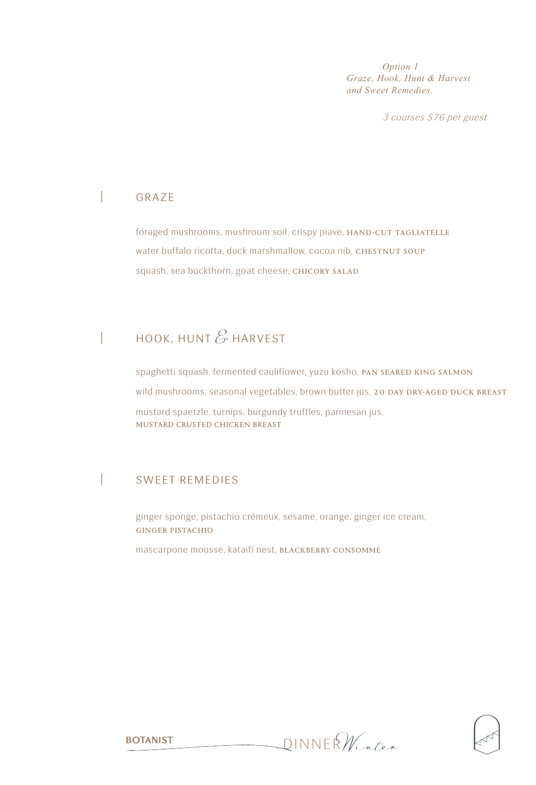*Option 1 Graze, Hook, Hunt & Harvest and Sweet Remedies.* 

3 courses \$76 per guest

### | graze

foraged mushrooms, mushroom soil, crispy piave, HAND-CUT TAGLIATELLE water buffalo ricotta, duck marshmallow, cocoa nib, CHESTNUT SOUP squash, sea buckthorn, goat cheese, CHICORY SALAD

# $\parallel$  hook, hunt  $\mathscr E$  harvest

spaghetti squash, fermented cauliflower, yuzu kosho, PAN SEARED KING SALMON wild mushrooms, seasonal vegetables, brown butter jus, 20 DAY DRY-AGED DUCK BREAST mustard spaetzle, turnips, burgundy truffles, parmesan jus, mustard crusted chicken breast

### | sweet remedies

ginger sponge, pistachio crémeux, sesame, orange, ginger ice cream, ginger pistachio

mascarpone mousse, kataifi nest, BLACKBERRY CONSOMMÉ

dinner *Winter*